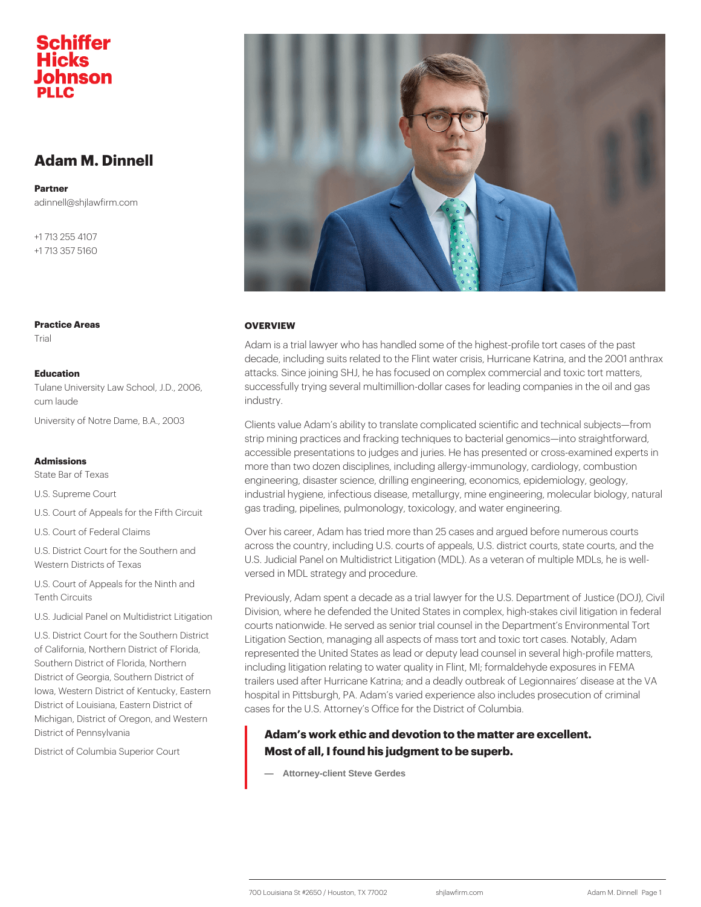# Adam M. Dinnell

Partner adinnell@shjlawfirm.com

+1 713 255 4107 +1 713 357 5160

OVERVIEW Adam is a trial lawyer who has handled some of the highest-profi decade, including suits related to the Flint water crisis, Hurrican attacks. Since joining SHJ, he has focused on complex commerci Tulane University Law School, J.SDu., caesosofully trying several multimillion-dollar cases for leading of industry. University of Notre Dame, B.A., 2003 to value Adam s ability to translate complicated scientific a strip mining practices and fracking techniques to bacterial genom accessible presentations to judges and juries. He has presented more than two dozen disciplines, including allergy-immunology, c engineering, disaster science, drilling engineering, economics, e industrial hygiene, infectious disease, metallurgy, mine engineer U.S. Court of Appeals for the Finan Scilading, pipelines, pulmonology, toxicology, and water engine Over his career, Adam has tried more than 25 cases and argued I U.S. District Court for the South actoss the country, including U.S. courts of appeals, U.S. distric U.S. Judicial Panel on Multidistrict Litigation (MDL). As a vetera versed in MDL strategy and procedure. Previously, Adam spent a decade as a trial lawyer for the U.S. D U.S. Judicial Panel on MultidistrPct Litigation where he defended the United States in complex, high-s courts nationwide. He served as senior trial counsel in the Depar U.S. District Court for the Southern paint of Section, managing all aspects of mass tort and toxic to of California, Northern District of Fleyd ated the United States as lead or deputy lead counsel in Southern District of Florida, Northernding litigation relating to water quality in Flint, MI; formalde District of Georgia, Southern Distuple Ps used after Hurricane Katrina; and a deadly outbreak of L lowa, Western District of Kentuck bs Fiq§i<sup>e</sup> in Pittsburgh, PA. Adam s varied experience also include District of Louisiana, Eastern Dightigs of the U.S. Attorney s Office for the District of Columbia. Adam s work ethic and devotion to the matter are exce District of Columbia Superior Court Most of all, I found his judgment to be superb. — Attorney-client Steve Gerdes Practice Areas Trial Education cum laude Admissions State Bar of Texas U.S. Supreme Court U.S. Court of Federal Claims Western Districts of Texas U.S. Court of Appeals for the Ninth and Tenth Circuits Michigan, District of Oregon, and Western District of Pennsylvania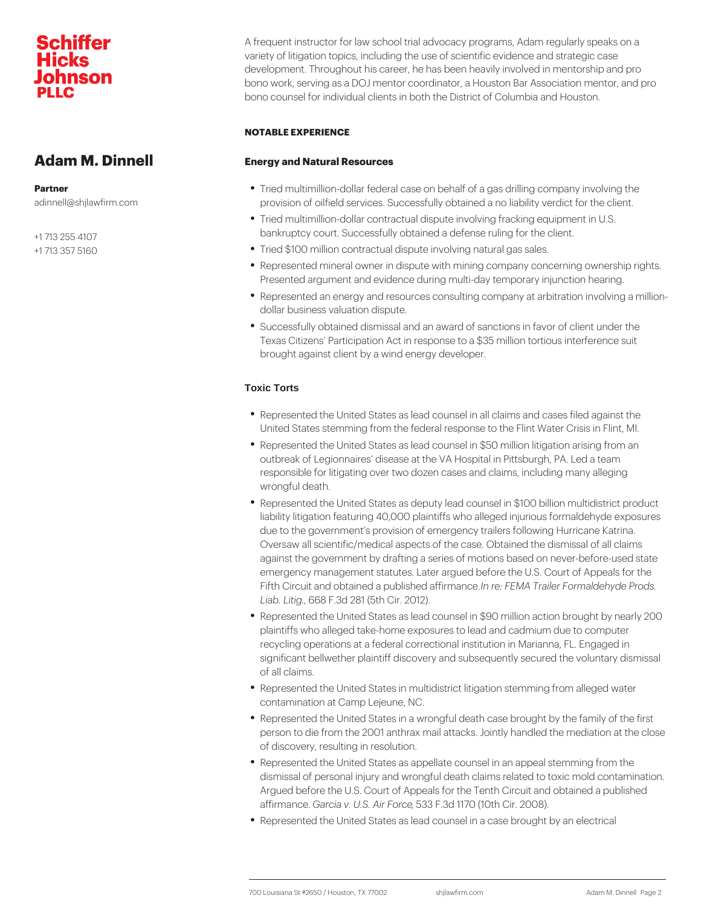A frequent instructor for law school trial advocacy programs, Ada variety of litigation topics, including the use of scientific eviden development. Throughout his career, he has been heavily involve bono work, serving as a DOJ mentor coordinator, a Houston Bar, bono counsel for individual clients in both the District of Columb

#### NOTABLE EXPERIENCE

Energy and Natural Resources

Adam M. Dinnell

Partner adinnell@shjlawfirm.com

- +1 713 255 4107
- +1 713 357 5160
- Tried multimillion-dollar federal case on behalf of a gas drillin provision of oilfield services. Successfully obtained a no liabil
- Tried multimillion-dollar contractual dispute involving fracking bankruptcy court. Successfully obtained a defense ruling for th
- Tried \$100 million contractual dispute involving natural gas sa
- Represented mineral owner in dispute with mining company cor Presented argument and evidence during multi-day temporary i
- Represented an energy and resources consulting company at a dollar business valuation dispute.
- Successfully obtained dismissal and an award of sanctions in f Texas Citizens Participation Act in response to a \$35 million brought against client by a wind energy developer.

#### Toxic Torts

- Represented the United States as lead counsel in all claims an United States stemming from the federal response to the Flint
- Represented the United States as lead counsel in \$50 million I outbreak of Legionnaires disease at the VA Hospital in Pittsbu responsible for litigating over two dozen cases and claims, inc wrongful death.
- Represented the United States as deputy lead counsel in \$100 liability litigation featuring 40,000 plaintiffs who alleged injuri due to the government s provision of emergency trailers follow Oversaw all scientific/medical aspects of the case. Obtained the against the government by drafting a series of motions based on emergency management statutes. Later argued before the U.S. Fifth Circuit and obtained a publimishee: dFaEfiMiAm Tamadeer Formaldehy Liab. Lifig8 F.3d 281 (5th Cir. 2012).
- Represented the United States as lead counsel in \$90 million a plaintiffs who alleged take-home exposures to lead and cadmiu recycling operations at a federal correctional institution in Ma significant bellwether plaintiff discovery and subsequently sec of all claims.
- Represented the United States in multidistrict litigation stemm contamination at Camp Lejeune, NC.
- Represented the United States in a wrongful death case brough person to die from the 2001 anthrax mail attacks. Jointly hand of discovery, resulting in resolution.
- Represented the United States as appellate counsel in an appe dismissal of personal injury and wrongful death claims related Argued before the U.S. Court of Appeals for the Tenth Circuit and affirmance.cia v. U.S., A583 F6r.6d 1170 (10th Cir. 2008).
- $\bullet$  Represented the United States as lead counsel in a case broug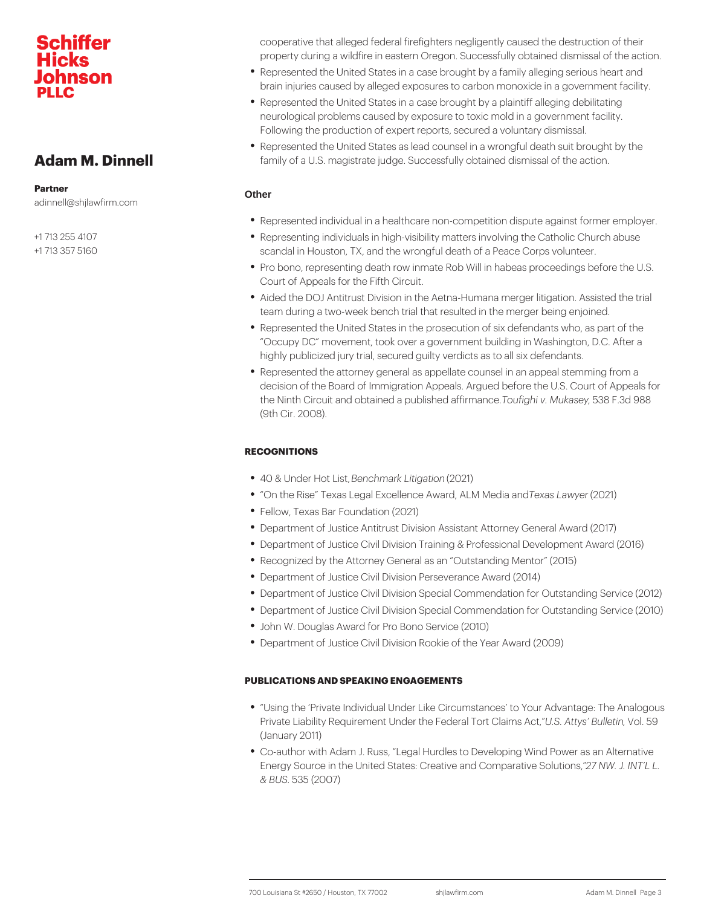Adam M. Dinnell

Partner adinnell@shjlawfirm.com

+1 713 255 4107

+1 713 357 5160

cooperative that alleged federal firefighters negligently caused property during a wildfire in eastern Oregon. Successfully obtained and the action.

- Represented the United States in a case brought by a family all brain injuries caused by alleged exposures to carbon monoxide
- Represented the United States in a case brought by a plaintiff neurological problems caused by exposure to toxic mold in a g Following the production of expert reports, secured a voluntary
- Represented the United States as lead counsel in a wrongful d family of a U.S. magistrate judge. Successfully obtained dismis

## **Other**

- Represented individual in a healthcare non-competition dispute
- Representing individuals in high-visibility matters involving the scandal in Houston, TX, and the wrongful death of a Peace Cor
- Pro bono, representing death row inmate Rob Will in habeas pr Court of Appeals for the Fifth Circuit.
- Aided the DOJ Antitrust Division in the Aetna-Humana merger I team during a two-week bench trial that resulted in the merger
- Represented the United States in the prosecution of six defend Occupy DC movement, took over a government building in Wa highly publicized jury trial, secured guilty verdicts as to all si
- Represented the attorney general as appellate counsel in an a decision of the Board of Immigration Appeals. Argued before the the Ninth Circuit and obtained a puTbdiusfhgehdi avf.fiMn,mo.sTo.an&s.oeFy.3d 988 (9th Cir. 2008).

## RECOGNITIONS

- 40 & Under HBenLoishmark Lit (ganzon)
- $\bullet$  On the Rise Texas Legal Excellence ATwenads, LA all MS of @121  $\bullet$  blia and
- Fellow, Texas Bar Foundation (2021)
- Department of Justice Antitrust Division Assistant Attorney Ge
- Department of Justice Civil Division Training & Professional De
- Recognized by the Attorney General as an Outstanding Mentor
- Department of Justice Civil Division Perseverance Award (2014)
- $\bullet$  Department of Justice Civil Division Special Commendation for
- $\bullet$  Department of Justice Civil Division Special Commendation for
- John W. Douglas Award for Pro Bono Service (2010)
- Department of Justice Civil Division Rookie of the Year Award

### PUBLICATIONS AND SPEAKING ENGAGEMENTS

- \* Using the Private Individual Under Like Circumstances to Yo Private Liability Requirement Under the FLe. SerAtt $\overline{\mathbf{y}}$  ort BW b He th Act (January 2011)
- Co-author with Adam J. Russ, Legal Hurdles to Developing Wi Energy Source in the United States: Creative a 2nd NCW mparlaNt Tv b. & BUS35 (2007)